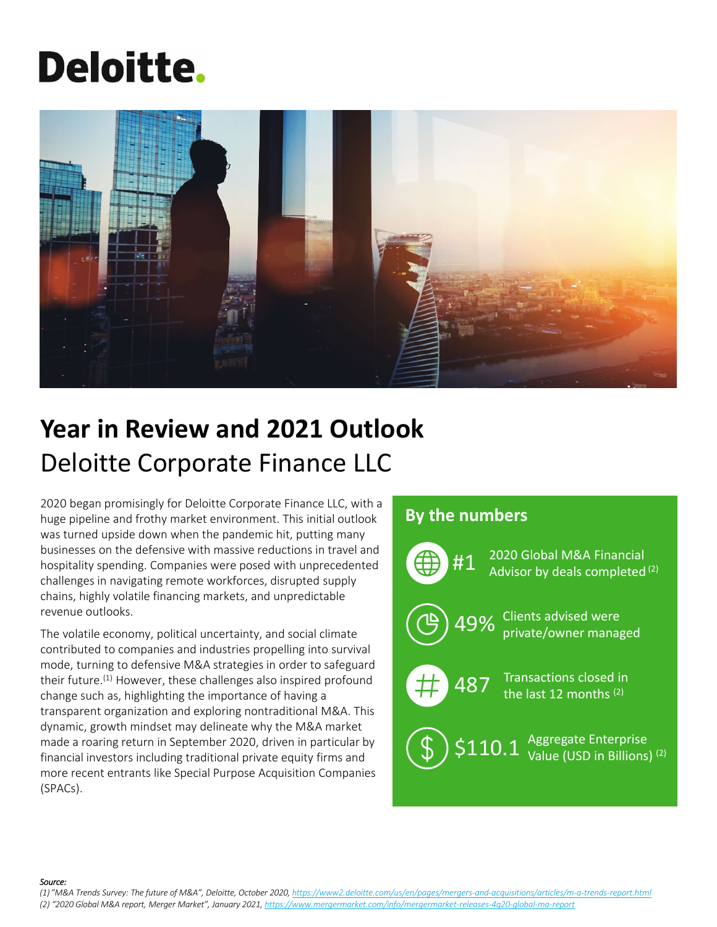# **Deloitte.**



# **Year in Review and 2021 Outlook** Deloitte Corporate Finance LLC

2020 began promisingly for Deloitte Corporate Finance LLC, with a huge pipeline and frothy market environment. This initial outlook was turned upside down when the pandemic hit, putting many businesses on the defensive with massive reductions in travel and hospitality spending. Companies were posed with unprecedented challenges in navigating remote workforces, disrupted supply chains, highly volatile financing markets, and unpredictable revenue outlooks.

The volatile economy, political uncertainty, and social climate contributed to companies and industries propelling into survival mode, turning to defensive M&A strategies in order to safeguard their future.(1) However, these challenges also inspired profound change such as, highlighting the importance of having a transparent organization and exploring nontraditional M&A. This dynamic, growth mindset may delineate why the M&A market made a roaring return in September 2020, driven in particular by financial investors including traditional private equity firms and more recent entrants like Special Purpose Acquisition Companies (SPACs).

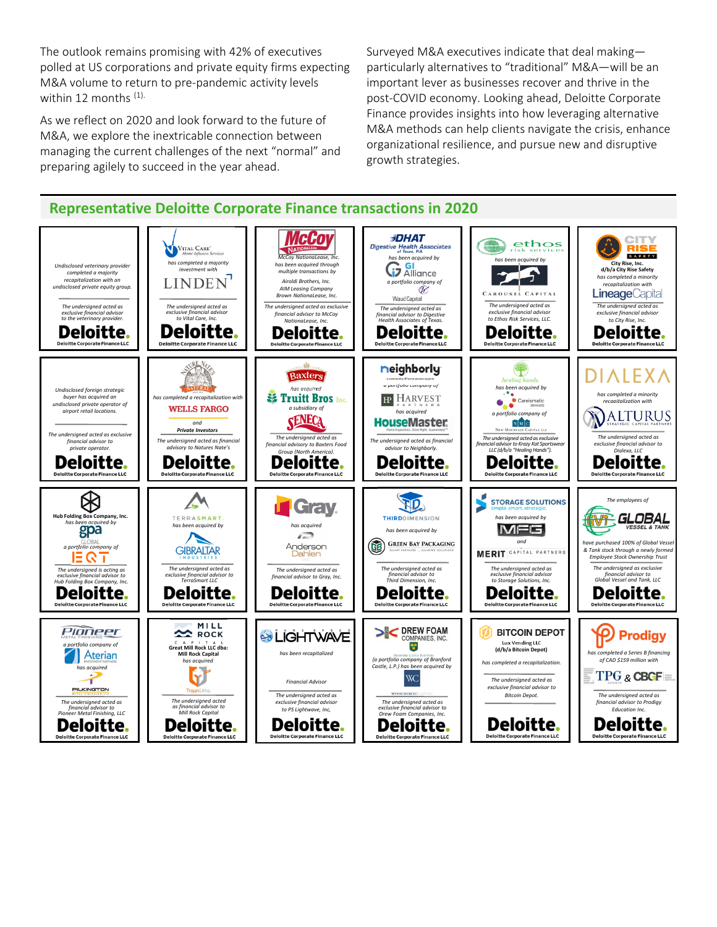The outlook remains promising with 42% of executives polled at US corporations and private equity firms expecting M&A volume to return to pre‐pandemic activity levels within 12 months <sup>(1).</sup>

As we reflect on 2020 and look forward to the future of M&A, we explore the inextricable connection between managing the current challenges of the next "normal" and preparing agilely to succeed in the year ahead.

Surveyed M&A executives indicate that deal making particularly alternatives to "traditional" M&A—will be an important lever as businesses recover and thrive in the post‐COVID economy. Looking ahead, Deloitte Corporate Finance provides insights into how leveraging alternative M&A methods can help clients navigate the crisis, enhance organizational resilience, and pursue new and disruptive growth strategies.

**Representative Deloitte Corporate Finance transactions in 2020 McCoy JDHAT CITY**<br>**RISE** ethos VITAL CARE<sup>\*</sup><br>Home Infusion Services *McCoy NationaLease, Inc.* Digestive Health Associates **SAFETY** *has been acquired by*<br>**GI** Alliance *has been acquired by Undisclosed veterinary provider has completed a majority investment with*  $has been acquired$  *thro* **City Rise, Inc. d/b/a City Rise Safety**  $25$ *multiple transactions by completed a majority recapitalization with an Airoldi Brothers, Inc. has completed a minority recapitalization with a portfolio company of undisclosed private equity group. AIM Leasing Company* CAROUSEL CAPITAL **Lineage**Capital *Brown NationaLease, Inc.*Waud Canital *The undersigned acted as The undersigned acted as The undersigned acted as exclusive The undersigned acted as exclusive financial advisor to the veterinary provider. The undersigned acted as exclusive financial advisor to Vital Care, Inc. The undersigned acted as financial advisor to Digestive Health Associates of Texas. financial advisor to McCoy exclusive financial advisor exclusive financial advisor to Ethos Risk Services, LLC. to City Rise, Inc. NationaLease, Inc.* **Deloitte Deloitte Deloitte** Deloitte. Deloitte. Deloitte. **Deloitte Corporate Finance LLC Deloitte Corporate Finance LLC** e Corporate Fina tte Corporate Fin tte Corporate Financ XX  $\begin{picture}(120,140)(-20,140)(-20,140){\line(1,0){100}} \put(20,140){\line(1,0){100}} \put(20,140){\line(1,0){100}} \put(20,140){\line(1,0){100}} \put(20,140){\line(1,0){100}} \put(20,140){\line(1,0){100}} \put(20,140){\line(1,0){100}} \put(20,140){\line(1,0){100}} \put(20,140){\line(1,0){100}} \put(20,140){\line$ neighborly **DIALEXA Baxters** *a portfolio company of has been acquired by Undisclosed foreign strategic* **has a** *f**ruitt* **Bros** Inc. *has completed a minority buyer has acquired an has completed a recapitalization with* **IP HARVEST** *recapitalization with* Careismatic *undisclosed private operator of* **WELLS FARGO** *a subsidiary of airport retail locations. has acquired* **ALTURUS** *a portfolio company of* **HouseMaster:** *and Private Investors* NEW MOUNTAIN CAPITAL LL *The undersigned acted as exclusive The undersigned acted as The undersigned acted as The undersigned acted as financial The undersigned acted as financial The undersigned acted as exclusive financial advisor to Krazy Kat Sportswear LLC (d/b/a "HealingHands"). financial advisor to private operator. financial advisory to Baxters Food exclusive financial advisor to advisory to Natures Nate's dvisor* to *Neigh Group (North America). Dialexa, LLC* Deloitte. **Deloitte.** Deloitte. **Deloitte.** Deloitte. Deloitte. **Deloitte Corporate Finance LLO**  $\bigcircledR$  $\Delta$ TID **STORAGE SOLUTIONS** *The employees of* **Gray. Hub Folding Box Company, Inc.** GLOBAL TERRASMART. **THIRD**DIMENSION *has been acquired by* NT. *has been acquired by has been acquired by has acquired* **MFG** VESSEL & TANK *has been acquired by*  $\blacktriangle$  $\sqrt{2}$ **GREEN BAY PACKAGING** *and have purchased 100% of Global Vessel* (明 **a** *a a a d company of* Anderson **GIBRALTAR**  $&$  *Tank stock through a newly forme* **MERIT** CAPITAL PARTNERS Dahlen *Employee Stock Ownership Trust The undersigned acted as The undersigned acted as The undersigned acted as The undersigned acted as The undersigned as exclusive financial advisor to Global Vessel and Tank, LLC The undersigned is acting as exclusive financial advisor to Hub Folding Box Company, Inc. exclusive financial advisor to TerraSmart LLC financial advisor to Gray, Inc. financial advisor to Third Dimension, Inc. exclusive financial advisor to Storage Solutions, Inc.* **Deloitte Deloitte. Deloitte. Deloitte** Deloitte. **Deloitte Corporate Finance LLC Deloitte Corporate Finance LLG** Deloitte Corporate Finance LLC **Deloitte Corporate Finance LLC** Deloitte Corporate Finance LLC **Deloitte Corporate Finance LLC** SIC DREW FOAM MILL Pioneer **P** Prodigy **BITCOIN DEPOT** ROCK **SO LIGHTWAVE** COMPANIES, INC. *a portfolio company of* **Great Mill Rock LLC dba: Mill Rock Capital** 體 **Lux Vending LLC (d/b/a Bitcoin Depot)** *has been recapitalized has completed a Series B financing has acquired of CAD \$159 million with (a portfolio company of Branford Castle, L.P.) has been acquired by has completed a recapitalization. has acquired* **TPG & CBGF**  $\operatorname{WC}$ *The undersigned acted as Financial Advisor* PILKINGTON *exclusive financial advisor to Bitcoin Depot. The undersigned acted as* **WYNNCHURCH** *The undersigned acted as The undersigned acted as financial advisor to Mill Rock Capital The undersigned acted as financial advisor to Pioneer Metal Finishing, LLC exclusive financial advisor The undersigned acted as exclusive financial advisor to Drew Foam Companies, Inc. financial advisor to Prodigy to PS Lightwave, Inc, Education Inc.* Deloitte. **Deloitte. Deloitte. Deloitte** Deloitte. Deloitte. **Deloitte Corporate Finance LLC Deloitte Corporate Finance LLC Deloitte Corporate Finance LLC Deloitte Corporate Finance LLC Deloitte Corporate Finance LLC**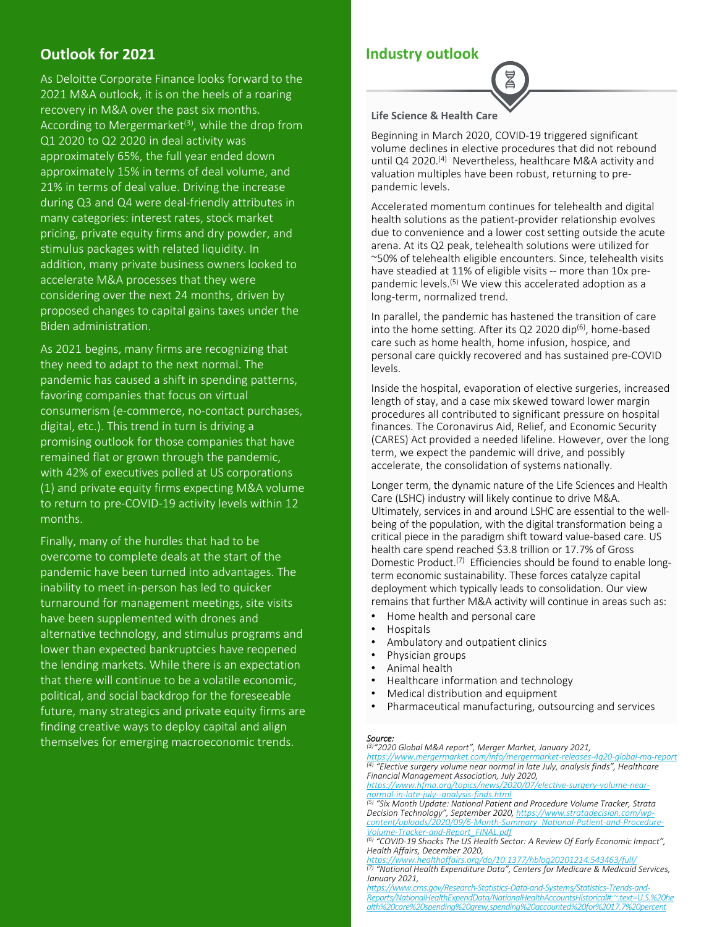## **Outlook for 2021**

As Deloitte Corporate Finance looks forward to the 2021 M&A outlook, it is on the heels of a roaring recovery in M&A over the past six months. According to Mergermarket<sup>(3)</sup>, while the drop from Q1 2020 to Q2 2020 in deal activity was approximately 65%, the full year ended down approximately 15% in terms of deal volume, and 21% in terms of deal value. Driving the increase during Q3 and Q4 were deal‐friendly attributes in many categories: interest rates, stock market pricing, private equity firms and dry powder, and stimulus packages with related liquidity. In addition, many private business owners looked to accelerate M&A processes that they were considering over the next 24 months, driven by proposed changes to capital gains taxes under the Biden administration.

As 2021 begins, many firms are recognizing that they need to adapt to the next normal. The pandemic has caused a shift in spending patterns, favoring companies that focus on virtual consumerism (e‐commerce, no‐contact purchases, digital, etc.). This trend in turn is driving a promising outlook for those companies that have remained flat or grown through the pandemic, with 42% of executives polled at US corporations (1) and private equity firms expecting M&A volume to return to pre‐COVID‐19 activity levels within 12 months.

Finally, many of the hurdles that had to be overcome to complete deals at the start of the pandemic have been turned into advantages. The inability to meet in‐person has led to quicker turnaround for management meetings, site visits have been supplemented with drones and alternative technology, and stimulus programs and lower than expected bankruptcies have reopened the lending markets. While there is an expectation that there will continue to be a volatile economic, political, and social backdrop for the foreseeable future, many strategics and private equity firms are finding creative ways to deploy capital and align themselves for emerging macroeconomic trends.

### **Industry outlook**



**Life Science & Health Care**

Beginning in March 2020, COVID‐19 triggered significant volume declines in elective procedures that did not rebound until Q4 2020.<sup>(4)</sup> Nevertheless, healthcare M&A activity and valuation multiples have been robust, returning to pre‐ pandemic levels.

Accelerated momentum continues for telehealth and digital health solutions as the patient‐provider relationship evolves due to convenience and a lower cost setting outside the acute arena. At its Q2 peak, telehealth solutions were utilized for ~50% of telehealth eligible encounters. Since, telehealth visits have steadied at 11% of eligible visits -- more than 10x prepandemic levels.(5) We view this accelerated adoption as a long‐term, normalized trend.

In parallel, the pandemic has hastened the transition of care into the home setting. After its Q2 2020 dip<sup>(6)</sup>, home-based care such as home health, home infusion, hospice, and personal care quickly recovered and has sustained pre‐COVID levels.

Inside the hospital, evaporation of elective surgeries, increased length of stay, and a case mix skewed toward lower margin procedures all contributed to significant pressure on hospital finances. The Coronavirus Aid, Relief, and Economic Security (CARES) Act provided a needed lifeline. However, over the long term, we expect the pandemic will drive, and possibly accelerate, the consolidation of systems nationally.

Longer term, the dynamic nature of the Life Sciences and Health Care (LSHC) industry will likely continue to drive M&A. Ultimately, services in and around LSHC are essential to the well‐ being of the population, with the digital transformation being a critical piece in the paradigm shift toward value‐based care. US health care spend reached \$3.8 trillion or 17.7% of Gross Domestic Product.<sup>(7)</sup> Efficiencies should be found to enable longterm economic sustainability. These forces catalyze capital deployment which typically leads to consolidation. Our view remains that further M&A activity will continue in areas such as:

- Home health and personal care
- Hospitals
- Ambulatory and outpatient clinics
- Physician groups
- Animal health
- Healthcare information and technology
- Medical distribution and equipment
- Pharmaceutical manufacturing, outsourcing and services

*Source: (3)"2020 Global M&A report", Merger Market, January 2021,*

<u>https://www.mergermarket.com/info/mergermarket-releases-4q20-global-ma-report</u><br><sup>(4)</sup> "Elective surgery volume near normal in late July, analysis finds", Healthcare *Financial Management Association, July 2020,*

*https://www.hfma.org/topics/news/2020/07/elective‐surgery‐volume‐near‐ normal‐in‐late‐july‐‐analysis‐finds.html*

*(5) "Six Month Update: National Patient and Procedure Volume Tracker, Strata Decision Technology", September 2020, https://www.stratadecision.com/wp‐ content/uploads/2020/09/6‐Month‐Summary\_National‐Patient‐and‐Procedure‐ Volume‐Tracker‐and‐Report\_FINAL.pdf*

*(6) "COVID‐19 Shocks The US Health Sector: A Review Of Early Economic Impact", Health Affairs, December 2020,*

*https://www.healthaffairs.org/do/10.1377/hblog20201214.543463/full/ (7) "National Health Expenditure Data", Centers for Medicare & Medicaid Services, January 2021,*

*https://www.cms.gov/Research‐Statistics‐Data‐and‐Systems/Statistics‐Trends‐and‐ Reports/NationalHealthExpendData/NationalHealthAccountsHistorical#:~:text=U.S.%20he alth%20care%20spending%20grew,spending%20accounted%20for%2017.7%20percent*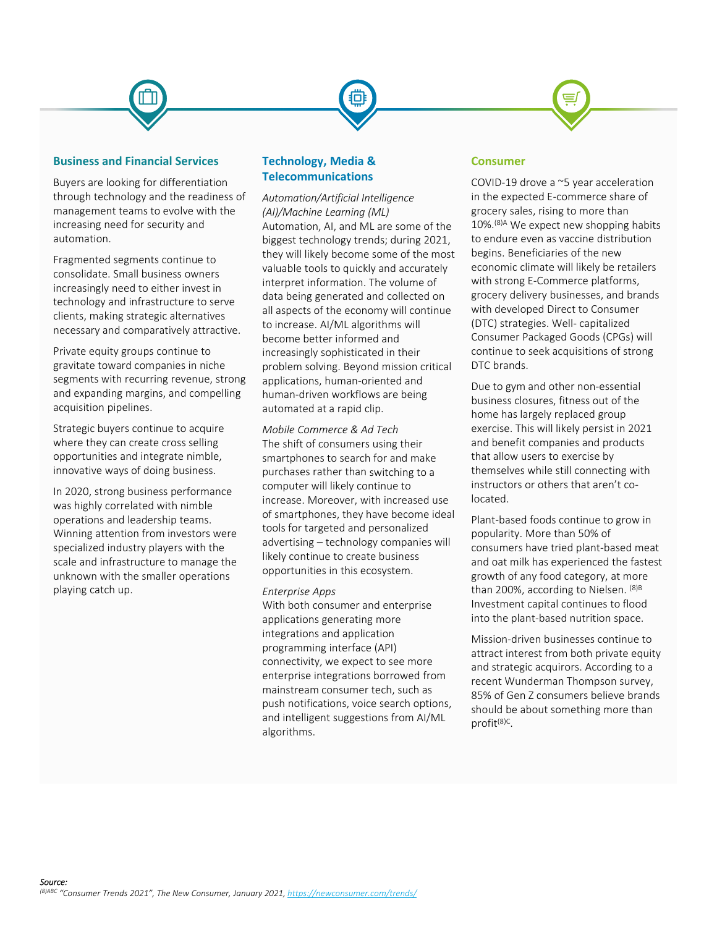#### **Business and Financial Services**

Buyers are looking for differentiation through technology and the readiness of management teams to evolve with the increasing need for security and automation.

Fragmented segments continue to consolidate. Small business owners increasingly need to either invest in technology and infrastructure to serve clients, making strategic alternatives necessary and comparatively attractive.

Private equity groups continue to gravitate toward companies in niche segments with recurring revenue, strong and expanding margins, and compelling acquisition pipelines.

Strategic buyers continue to acquire where they can create cross selling opportunities and integrate nimble, innovative ways of doing business.

In 2020, strong business performance was highly correlated with nimble operations and leadership teams. Winning attention from investors were specialized industry players with the scale and infrastructure to manage the unknown with the smaller operations playing catch up.

#### **Technology, Media & Telecommunications**

*Automation/Artificial Intelligence (AI)/Machine Learning (ML)* Automation, AI, and ML are some of the biggest technology trends; during 2021, they will likely become some of the most valuable tools to quickly and accurately interpret information. The volume of data being generated and collected on all aspects of the economy will continue to increase. AI/ML algorithms will become better informed and increasingly sophisticated in their problem solving. Beyond mission critical applications, human‐oriented and human‐driven workflows are being automated at a rapid clip.

*Mobile Commerce & Ad Tech* The shift of consumers using their smartphones to search for and make purchases rather than switching to a computer will likely continue to increase. Moreover, with increased use of smartphones, they have become ideal tools for targeted and personalized advertising – technology companies will likely continue to create business opportunities in this ecosystem.

#### *Enterprise Apps*

With both consumer and enterprise applications generating more integrations and application programming interface (API) connectivity, we expect to see more enterprise integrations borrowed from mainstream consumer tech, such as push notifications, voice search options, and intelligent suggestions from AI/ML algorithms.

#### **Consumer**

COVID‐19 drove a ~5 year acceleration in the expected E‐commerce share of grocery sales, rising to more than 10%.(8)A We expect new shopping habits to endure even as vaccine distribution begins. Beneficiaries of the new economic climate will likely be retailers with strong E‐Commerce platforms, grocery delivery businesses, and brands with developed Direct to Consumer (DTC) strategies. Well‐ capitalized Consumer Packaged Goods (CPGs) will continue to seek acquisitions of strong DTC brands.

Due to gym and other non‐essential business closures, fitness out of the home has largely replaced group exercise. This will likely persist in 2021 and benefit companies and products that allow users to exercise by themselves while still connecting with instructors or others that aren't co‐ located.

Plant‐based foods continue to grow in popularity. More than 50% of consumers have tried plant‐based meat and oat milk has experienced the fastest growth of any food category, at more than 200%, according to Nielsen. <sup>(8)B</sup> Investment capital continues to flood into the plant‐based nutrition space.

Mission‐driven businesses continue to attract interest from both private equity and strategic acquirors. According to a recent Wunderman Thompson survey, 85% of Gen Z consumers believe brands should be about something more than profit(8)C.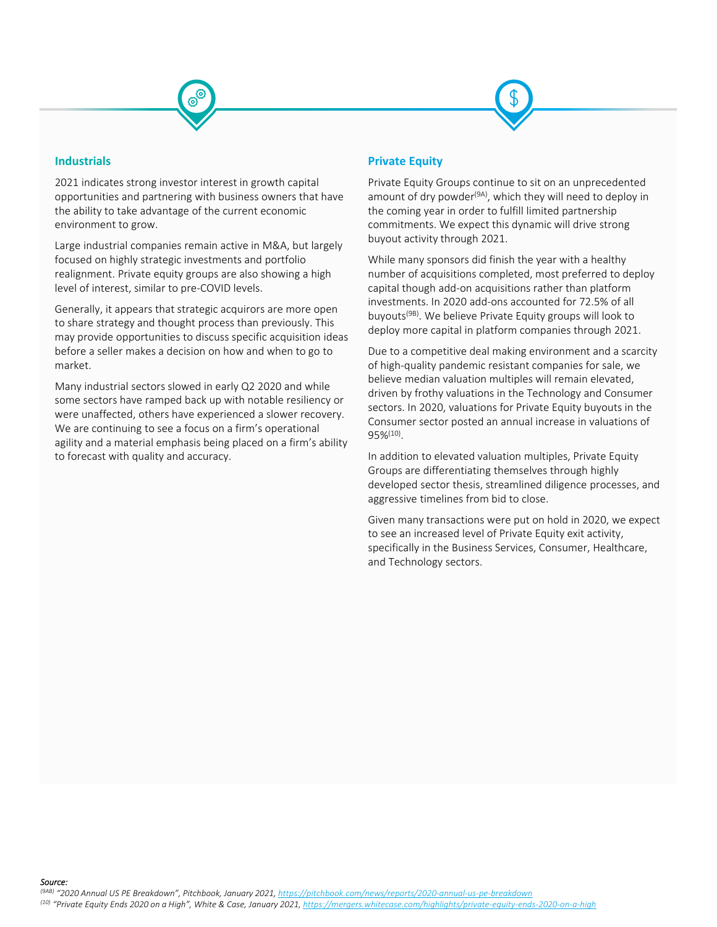

#### **Industrials**

2021 indicates strong investor interest in growth capital opportunities and partnering with business owners that have the ability to take advantage of the current economic environment to grow.

Large industrial companies remain active in M&A, but largely focused on highly strategic investments and portfolio realignment. Private equity groups are also showing a high level of interest, similar to pre‐COVID levels.

Generally, it appears that strategic acquirors are more open to share strategy and thought process than previously. This may provide opportunities to discuss specific acquisition ideas before a seller makes a decision on how and when to go to market.

Many industrial sectors slowed in early Q2 2020 and while some sectors have ramped back up with notable resiliency or were unaffected, others have experienced a slower recovery. We are continuing to see a focus on a firm's operational agility and a material emphasis being placed on a firm's ability to forecast with quality and accuracy.

#### **Private Equity**

Private Equity Groups continue to sit on an unprecedented amount of dry powder<sup>(9A)</sup>, which they will need to deploy in the coming year in order to fulfill limited partnership commitments. We expect this dynamic will drive strong buyout activity through 2021.

While many sponsors did finish the year with a healthy number of acquisitions completed, most preferred to deploy capital though add‐on acquisitions rather than platform investments. In 2020 add‐ons accounted for 72.5% of all buyouts(9B). We believe Private Equity groups will look to deploy more capital in platform companies through 2021.

Due to a competitive deal making environment and a scarcity of high‐quality pandemic resistant companies for sale, we believe median valuation multiples will remain elevated, driven by frothy valuations in the Technology and Consumer sectors. In 2020, valuations for Private Equity buyouts in the Consumer sector posted an annual increase in valuations of 95%(10).

In addition to elevated valuation multiples, Private Equity Groups are differentiating themselves through highly developed sector thesis, streamlined diligence processes, and aggressive timelines from bid to close.

Given many transactions were put on hold in 2020, we expect to see an increased level of Private Equity exit activity, specifically in the Business Services, Consumer, Healthcare, and Technology sectors.